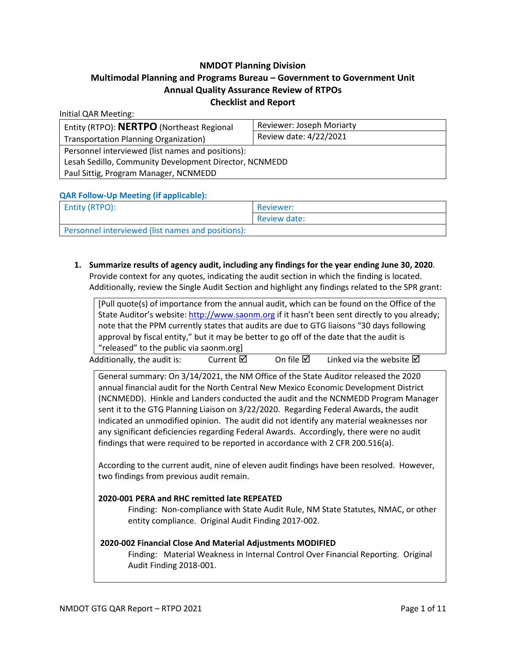### **NMDOT Planning Division**

# **Multimodal Planning and Programs Bureau – Government to Government Unit Annual Quality Assurance Review of RTPOs Checklist and Report**

| Entity (RTPO): NERTPO (Northeast Regional              | Reviewer: Joseph Moriarty<br>Review date: 4/22/2021 |  |  |  |
|--------------------------------------------------------|-----------------------------------------------------|--|--|--|
| Transportation Planning Organization)                  |                                                     |  |  |  |
| Personnel interviewed (list names and positions):      |                                                     |  |  |  |
| Lesah Sedillo, Community Development Director, NCNMEDD |                                                     |  |  |  |
| Paul Sittig, Program Manager, NCNMEDD                  |                                                     |  |  |  |

### **QAR Follow-Up Meeting (if applicable):**

Initial QAR Meeting:

| <b>Entity (RTPO):</b>                             | Reviewer:    |  |
|---------------------------------------------------|--------------|--|
|                                                   | Review date: |  |
| Personnel interviewed (list names and positions): |              |  |

**1. Summarize results of agency audit, including any findings for the year ending June 30, 2020**. Provide context for any quotes, indicating the audit section in which the finding is located. Additionally, review the Single Audit Section and highlight any findings related to the SPR grant:

[Pull quote(s) of importance from the annual audit, which can be found on the Office of the State Auditor's website[: http://www.saonm.org](http://www.saonm.org/) if it hasn't been sent directly to you already; note that the PPM currently states that audits are due to GTG liaisons "30 days following approval by fiscal entity," but it may be better to go off of the date that the audit is "released" to the public via saonm.org]

| Additionally, the audit is: | Current $\boxtimes$ | On file $\boxtimes$ | Linked via the website $\boxtimes$ |
|-----------------------------|---------------------|---------------------|------------------------------------|
|-----------------------------|---------------------|---------------------|------------------------------------|

General summary: On 3/14/2021, the NM Office of the State Auditor released the 2020 annual financial audit for the North Central New Mexico Economic Development District (NCNMEDD). Hinkle and Landers conducted the audit and the NCNMEDD Program Manager sent it to the GTG Planning Liaison on 3/22/2020. Regarding Federal Awards, the audit indicated an unmodified opinion. The audit did not identify any material weaknesses nor any significant deficiencies regarding Federal Awards. Accordingly, there were no audit findings that were required to be reported in accordance with 2 CFR 200.516(a).

According to the current audit, nine of eleven audit findings have been resolved. However, two findings from previous audit remain.

### **2020-001 PERA and RHC remitted late REPEATED**

Finding: Non-compliance with State Audit Rule, NM State Statutes, NMAC, or other entity compliance. Original Audit Finding 2017-002.

### **2020-002 Financial Close And Material Adjustments MODIFIED**

Finding: Material Weakness in Internal Control Over Financial Reporting. Original Audit Finding 2018-001.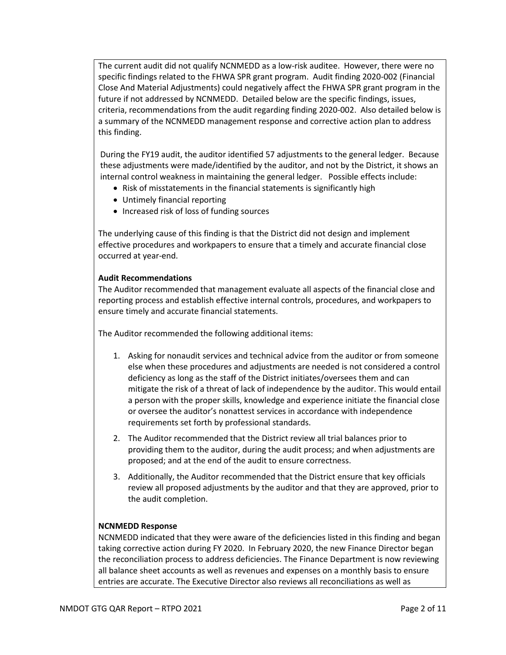The current audit did not qualify NCNMEDD as a low-risk auditee. However, there were no specific findings related to the FHWA SPR grant program. Audit finding 2020-002 (Financial Close And Material Adjustments) could negatively affect the FHWA SPR grant program in the future if not addressed by NCNMEDD. Detailed below are the specific findings, issues, criteria, recommendations from the audit regarding finding 2020-002. Also detailed below is a summary of the NCNMEDD management response and corrective action plan to address this finding.

During the FY19 audit, the auditor identified 57 adjustments to the general ledger. Because these adjustments were made/identified by the auditor, and not by the District, it shows an internal control weakness in maintaining the general ledger. Possible effects include:

- Risk of misstatements in the financial statements is significantly high
- Untimely financial reporting
- Increased risk of loss of funding sources

The underlying cause of this finding is that the District did not design and implement effective procedures and workpapers to ensure that a timely and accurate financial close occurred at year-end.

### **Audit Recommendations**

The Auditor recommended that management evaluate all aspects of the financial close and reporting process and establish effective internal controls, procedures, and workpapers to ensure timely and accurate financial statements.

The Auditor recommended the following additional items:

- 1. Asking for nonaudit services and technical advice from the auditor or from someone else when these procedures and adjustments are needed is not considered a control deficiency as long as the staff of the District initiates/oversees them and can mitigate the risk of a threat of lack of independence by the auditor. This would entail a person with the proper skills, knowledge and experience initiate the financial close or oversee the auditor's nonattest services in accordance with independence requirements set forth by professional standards.
- 2. The Auditor recommended that the District review all trial balances prior to providing them to the auditor, during the audit process; and when adjustments are proposed; and at the end of the audit to ensure correctness.
- 3. Additionally, the Auditor recommended that the District ensure that key officials review all proposed adjustments by the auditor and that they are approved, prior to the audit completion.

### **NCNMEDD Response**

NCNMEDD indicated that they were aware of the deficiencies listed in this finding and began taking corrective action during FY 2020. In February 2020, the new Finance Director began the reconciliation process to address deficiencies. The Finance Department is now reviewing all balance sheet accounts as well as revenues and expenses on a monthly basis to ensure entries are accurate. The Executive Director also reviews all reconciliations as well as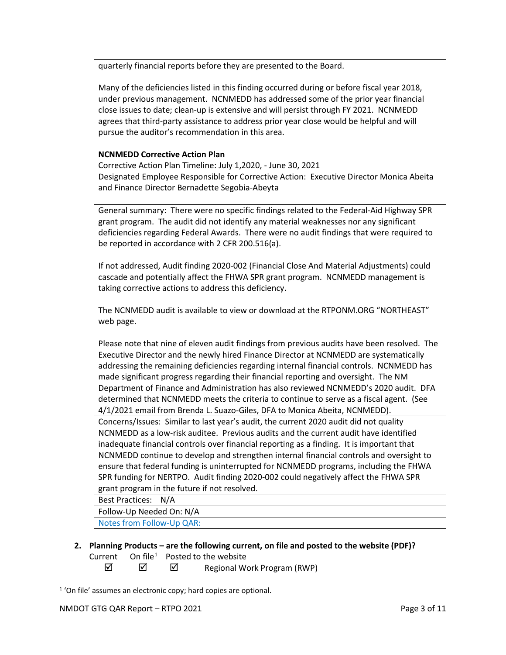quarterly financial reports before they are presented to the Board.

Many of the deficiencies listed in this finding occurred during or before fiscal year 2018, under previous management. NCNMEDD has addressed some of the prior year financial close issues to date; clean-up is extensive and will persist through FY 2021. NCNMEDD agrees that third-party assistance to address prior year close would be helpful and will pursue the auditor's recommendation in this area.

#### **NCNMEDD Corrective Action Plan**

Corrective Action Plan Timeline: July 1,2020, - June 30, 2021 Designated Employee Responsible for Corrective Action: Executive Director Monica Abeita and Finance Director Bernadette Segobia-Abeyta

General summary: There were no specific findings related to the Federal-Aid Highway SPR grant program. The audit did not identify any material weaknesses nor any significant deficiencies regarding Federal Awards. There were no audit findings that were required to be reported in accordance with 2 CFR 200.516(a).

If not addressed, Audit finding 2020-002 (Financial Close And Material Adjustments) could cascade and potentially affect the FHWA SPR grant program. NCNMEDD management is taking corrective actions to address this deficiency.

The NCNMEDD audit is available to view or download at the RTPONM.ORG "NORTHEAST" web page.

Please note that nine of eleven audit findings from previous audits have been resolved. The Executive Director and the newly hired Finance Director at NCNMEDD are systematically addressing the remaining deficiencies regarding internal financial controls. NCNMEDD has made significant progress regarding their financial reporting and oversight. The NM Department of Finance and Administration has also reviewed NCNMEDD's 2020 audit. DFA determined that NCNMEDD meets the criteria to continue to serve as a fiscal agent. (See 4/1/2021 email from Brenda L. Suazo-Giles, DFA to Monica Abeita, NCNMEDD).

Concerns/Issues: Similar to last year's audit, the current 2020 audit did not quality NCNMEDD as a low-risk auditee. Previous audits and the current audit have identified inadequate financial controls over financial reporting as a finding. It is important that NCNMEDD continue to develop and strengthen internal financial controls and oversight to ensure that federal funding is uninterrupted for NCNMEDD programs, including the FHWA SPR funding for NERTPO. Audit finding 2020-002 could negatively affect the FHWA SPR grant program in the future if not resolved.

Best Practices: N/A

Follow-Up Needed On: N/A

Notes from Follow-Up QAR:

**2. Planning Products – are the following current, on file and posted to the website (PDF)?** Current  $On file<sup>1</sup>$  $On file<sup>1</sup>$  $On file<sup>1</sup>$  Posted to the website

 $\boxtimes$   $\boxtimes$  Regional Work Program (RWP)

<span id="page-2-0"></span><sup>&</sup>lt;sup>1</sup> 'On file' assumes an electronic copy; hard copies are optional.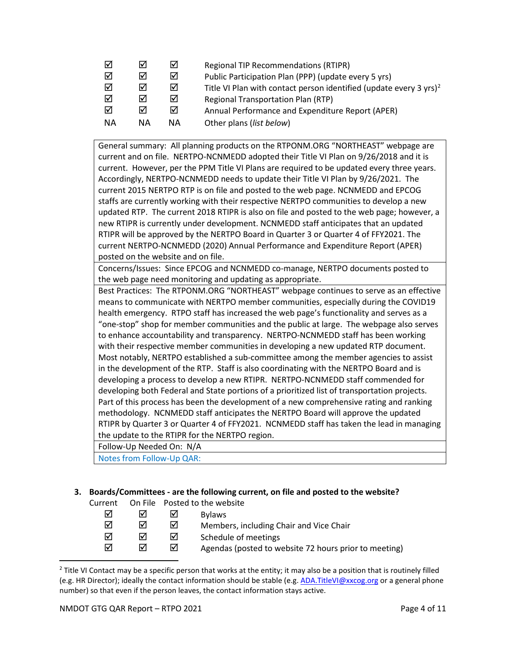| ⋈         | М  | 罓  | <b>Regional TIP Recommendations (RTIPR)</b>                                    |
|-----------|----|----|--------------------------------------------------------------------------------|
| ☑         | ☑  | ☑  | Public Participation Plan (PPP) (update every 5 yrs)                           |
| ☑         | ☑  | ☑  | Title VI Plan with contact person identified (update every 3 yrs) <sup>2</sup> |
| ☑         | ☑  | ☑  | <b>Regional Transportation Plan (RTP)</b>                                      |
| ☑         | ☑  | ☑  | Annual Performance and Expenditure Report (APER)                               |
| <b>NA</b> | ΝA | ΝA | Other plans (list below)                                                       |

General summary: All planning products on the RTPONM.ORG "NORTHEAST" webpage are current and on file. NERTPO-NCNMEDD adopted their Title VI Plan on 9/26/2018 and it is current. However, per the PPM Title VI Plans are required to be updated every three years. Accordingly, NERTPO-NCNMEDD needs to update their Title VI Plan by 9/26/2021. The current 2015 NERTPO RTP is on file and posted to the web page. NCNMEDD and EPCOG staffs are currently working with their respective NERTPO communities to develop a new updated RTP. The current 2018 RTIPR is also on file and posted to the web page; however, a new RTIPR is currently under development. NCNMEDD staff anticipates that an updated RTIPR will be approved by the NERTPO Board in Quarter 3 or Quarter 4 of FFY2021. The current NERTPO-NCNMEDD (2020) Annual Performance and Expenditure Report (APER) posted on the website and on file.

Concerns/Issues: Since EPCOG and NCNMEDD co-manage, NERTPO documents posted to the web page need monitoring and updating as appropriate.

Best Practices: The RTPONM.ORG "NORTHEAST" webpage continues to serve as an effective means to communicate with NERTPO member communities, especially during the COVID19 health emergency. RTPO staff has increased the web page's functionality and serves as a "one-stop" shop for member communities and the public at large. The webpage also serves to enhance accountability and transparency. NERTPO-NCNMEDD staff has been working with their respective member communities in developing a new updated RTP document. Most notably, NERTPO established a sub-committee among the member agencies to assist in the development of the RTP. Staff is also coordinating with the NERTPO Board and is developing a process to develop a new RTIPR. NERTPO-NCNMEDD staff commended for developing both Federal and State portions of a prioritized list of transportation projects. Part of this process has been the development of a new comprehensive rating and ranking methodology. NCNMEDD staff anticipates the NERTPO Board will approve the updated RTIPR by Quarter 3 or Quarter 4 of FFY2021. NCNMEDD staff has taken the lead in managing the update to the RTIPR for the NERTPO region.

Follow-Up Needed On: N/A

Notes from Follow-Up QAR:

# **3. Boards/Committees - are the following current, on file and posted to the website?**

| Current |   |   | On File Posted to the website                         |
|---------|---|---|-------------------------------------------------------|
| ☑       | ⋈ | M | <b>Bylaws</b>                                         |
| ☑       | ⋈ | ⋈ | Members, including Chair and Vice Chair               |
| ☑       | ⊓ | ☑ | Schedule of meetings                                  |
| ☑       | ☑ | ⋈ | Agendas (posted to website 72 hours prior to meeting) |
|         |   |   |                                                       |

<span id="page-3-0"></span> $<sup>2</sup>$  Title VI Contact may be a specific person that works at the entity; it may also be a position that is routinely filled</sup> (e.g. HR Director); ideally the contact information should be stable (e.g. [ADA.TitleVI@xxcog.org](mailto:ADA.TitleVI@xxcog.org) or a general phone number) so that even if the person leaves, the contact information stays active.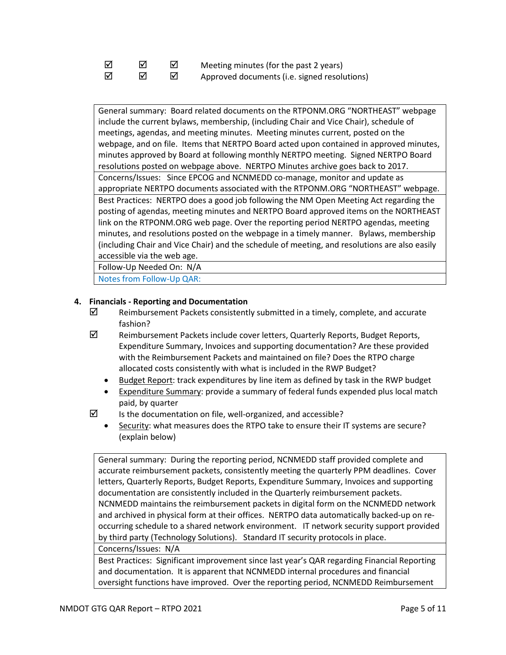| ⊺⊽ | ☑ | Meeting minutes (for the past 2 years)       |
|----|---|----------------------------------------------|
| ⊠  | М | Approved documents (i.e. signed resolutions) |

General summary: Board related documents on the RTPONM.ORG "NORTHEAST" webpage include the current bylaws, membership, (including Chair and Vice Chair), schedule of meetings, agendas, and meeting minutes. Meeting minutes current, posted on the webpage, and on file. Items that NERTPO Board acted upon contained in approved minutes, minutes approved by Board at following monthly NERTPO meeting. Signed NERTPO Board resolutions posted on webpage above. NERTPO Minutes archive goes back to 2017. Concerns/Issues: Since EPCOG and NCNMEDD co-manage, monitor and update as appropriate NERTPO documents associated with the RTPONM.ORG "NORTHEAST" webpage. Best Practices: NERTPO does a good job following the NM Open Meeting Act regarding the posting of agendas, meeting minutes and NERTPO Board approved items on the NORTHEAST link on the RTPONM.ORG web page. Over the reporting period NERTPO agendas, meeting minutes, and resolutions posted on the webpage in a timely manner. Bylaws, membership (including Chair and Vice Chair) and the schedule of meeting, and resolutions are also easily accessible via the web age.

Follow-Up Needed On: N/A

Notes from Follow-Up QAR:

### **4. Financials - Reporting and Documentation**

- $\boxtimes$  Reimbursement Packets consistently submitted in a timely, complete, and accurate fashion?
- $\boxtimes$  Reimbursement Packets include cover letters, Quarterly Reports, Budget Reports, Expenditure Summary, Invoices and supporting documentation? Are these provided with the Reimbursement Packets and maintained on file? Does the RTPO charge allocated costs consistently with what is included in the RWP Budget?
	- Budget Report: track expenditures by line item as defined by task in the RWP budget
	- Expenditure Summary: provide a summary of federal funds expended plus local match paid, by quarter
- 
- $\boxtimes$  Is the documentation on file, well-organized, and accessible?
	- Security: what measures does the RTPO take to ensure their IT systems are secure? (explain below)

General summary: During the reporting period, NCNMEDD staff provided complete and accurate reimbursement packets, consistently meeting the quarterly PPM deadlines. Cover letters, Quarterly Reports, Budget Reports, Expenditure Summary, Invoices and supporting documentation are consistently included in the Quarterly reimbursement packets. NCNMEDD maintains the reimbursement packets in digital form on the NCNMEDD network and archived in physical form at their offices. NERTPO data automatically backed-up on reoccurring schedule to a shared network environment. IT network security support provided by third party (Technology Solutions). Standard IT security protocols in place.

Concerns/Issues: N/A

Best Practices: Significant improvement since last year's QAR regarding Financial Reporting and documentation. It is apparent that NCNMEDD internal procedures and financial oversight functions have improved. Over the reporting period, NCNMEDD Reimbursement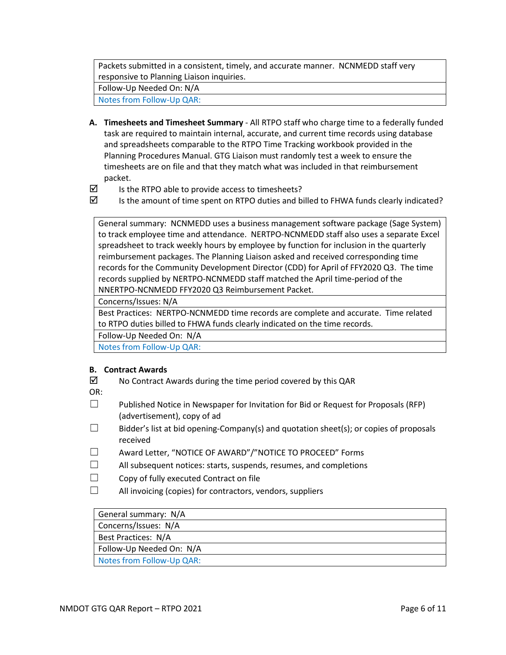Packets submitted in a consistent, timely, and accurate manner. NCNMEDD staff very responsive to Planning Liaison inquiries.

Follow-Up Needed On: N/A

Notes from Follow-Up QAR:

- **A. Timesheets and Timesheet Summary** All RTPO staff who charge time to a federally funded task are required to maintain internal, accurate, and current time records using database and spreadsheets comparable to the RTPO Time Tracking workbook provided in the Planning Procedures Manual. GTG Liaison must randomly test a week to ensure the timesheets are on file and that they match what was included in that reimbursement packet.
- $\triangledown$  Is the RTPO able to provide access to timesheets?
- $\boxtimes$  Is the amount of time spent on RTPO duties and billed to FHWA funds clearly indicated?

General summary: NCNMEDD uses a business management software package (Sage System) to track employee time and attendance. NERTPO-NCNMEDD staff also uses a separate Excel spreadsheet to track weekly hours by employee by function for inclusion in the quarterly reimbursement packages. The Planning Liaison asked and received corresponding time records for the Community Development Director (CDD) for April of FFY2020 Q3. The time records supplied by NERTPO-NCNMEDD staff matched the April time-period of the NNERTPO-NCNMEDD FFY2020 Q3 Reimbursement Packet.

Concerns/Issues: N/A

Best Practices: NERTPO-NCNMEDD time records are complete and accurate. Time related to RTPO duties billed to FHWA funds clearly indicated on the time records.

Follow-Up Needed On: N/A

Notes from Follow-Up QAR:

#### **B. Contract Awards**

 $\boxtimes$  No Contract Awards during the time period covered by this QAR

OR:

- $\Box$  Published Notice in Newspaper for Invitation for Bid or Request for Proposals (RFP) (advertisement), copy of ad
- $\Box$  Bidder's list at bid opening-Company(s) and quotation sheet(s); or copies of proposals received
- ☐ Award Letter, "NOTICE OF AWARD"/"NOTICE TO PROCEED" Forms
- $\Box$  All subsequent notices: starts, suspends, resumes, and completions
- ☐ Copy of fully executed Contract on file
- ☐ All invoicing (copies) for contractors, vendors, suppliers

| General summary: N/A      |  |
|---------------------------|--|
| Concerns/Issues: N/A      |  |
| Best Practices: N/A       |  |
| Follow-Up Needed On: N/A  |  |
| Notes from Follow-Up QAR: |  |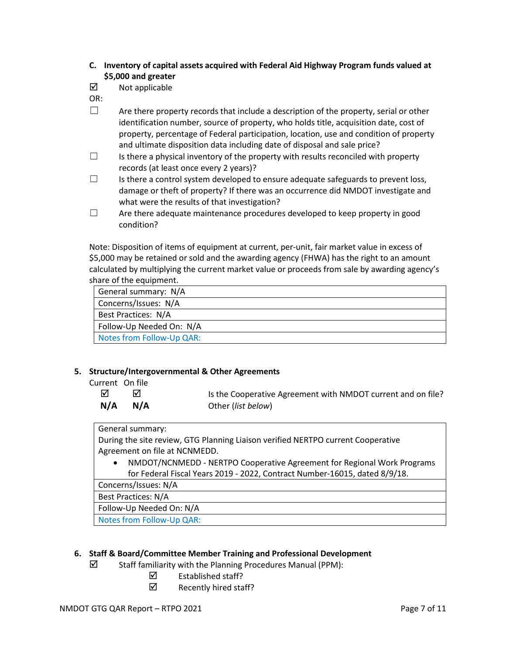- **C. Inventory of capital assets acquired with Federal Aid Highway Program funds valued at \$5,000 and greater**
- $\boxtimes$  Not applicable
- OR:
- $\Box$  Are there property records that include a description of the property, serial or other identification number, source of property, who holds title, acquisition date, cost of property, percentage of Federal participation, location, use and condition of property and ultimate disposition data including date of disposal and sale price?
- $\Box$  Is there a physical inventory of the property with results reconciled with property records (at least once every 2 years)?
- $\Box$  Is there a control system developed to ensure adequate safeguards to prevent loss, damage or theft of property? If there was an occurrence did NMDOT investigate and what were the results of that investigation?
- $\Box$  Are there adequate maintenance procedures developed to keep property in good condition?

Note: Disposition of items of equipment at current, per-unit, fair market value in excess of \$5,000 may be retained or sold and the awarding agency (FHWA) has the right to an amount calculated by multiplying the current market value or proceeds from sale by awarding agency's share of the equipment.

| General summary: N/A       |
|----------------------------|
| Concerns/Issues: N/A       |
| <b>Best Practices: N/A</b> |
| Follow-Up Needed On: N/A   |
| Notes from Follow-Up QAR:  |

### **5. Structure/Intergovernmental & Other Agreements**

Current On file

 $\boxtimes$   $\boxtimes$   $\blacksquare$ **N/A N/A** Other (*list below*)

### General summary:

During the site review, GTG Planning Liaison verified NERTPO current Cooperative Agreement on file at NCNMEDD.

• NMDOT/NCNMEDD - NERTPO Cooperative Agreement for Regional Work Programs for Federal Fiscal Years 2019 - 2022, Contract Number-16015, dated 8/9/18.

Concerns/Issues: N/A

Best Practices: N/A

Follow-Up Needed On: N/A

Notes from Follow-Up QAR:

# **6. Staff & Board/Committee Member Training and Professional Development**

- $\boxtimes$  Staff familiarity with the Planning Procedures Manual (PPM):
	- $\boxtimes$  Established staff?
	- $\boxtimes$  Recently hired staff?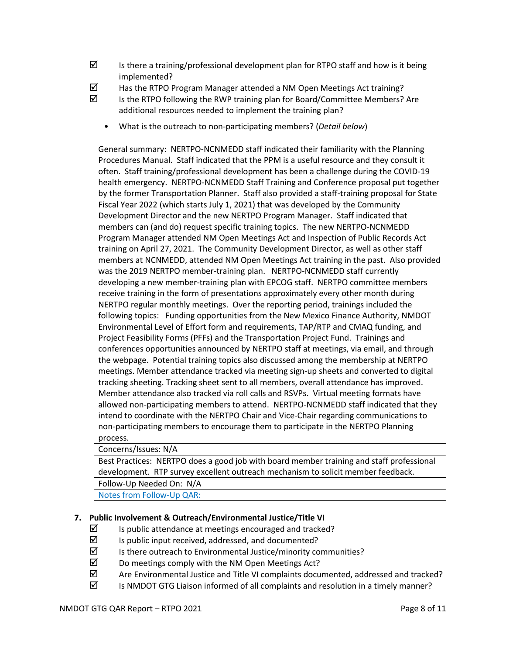- $\boxtimes$  Is there a training/professional development plan for RTPO staff and how is it being implemented?
- $\boxtimes$  Has the RTPO Program Manager attended a NM Open Meetings Act training?
- $\boxtimes$  Is the RTPO following the RWP training plan for Board/Committee Members? Are additional resources needed to implement the training plan?
	- What is the outreach to non-participating members? (*Detail below*)

General summary: NERTPO-NCNMEDD staff indicated their familiarity with the Planning Procedures Manual. Staff indicated that the PPM is a useful resource and they consult it often. Staff training/professional development has been a challenge during the COVID-19 health emergency. NERTPO-NCNMEDD Staff Training and Conference proposal put together by the former Transportation Planner. Staff also provided a staff-training proposal for State Fiscal Year 2022 (which starts July 1, 2021) that was developed by the Community Development Director and the new NERTPO Program Manager. Staff indicated that members can (and do) request specific training topics. The new NERTPO-NCNMEDD Program Manager attended NM Open Meetings Act and Inspection of Public Records Act training on April 27, 2021. The Community Development Director, as well as other staff members at NCNMEDD, attended NM Open Meetings Act training in the past. Also provided was the 2019 NERTPO member-training plan. NERTPO-NCNMEDD staff currently developing a new member-training plan with EPCOG staff. NERTPO committee members receive training in the form of presentations approximately every other month during NERTPO regular monthly meetings. Over the reporting period, trainings included the following topics: Funding opportunities from the New Mexico Finance Authority, NMDOT Environmental Level of Effort form and requirements, TAP/RTP and CMAQ funding, and Project Feasibility Forms (PFFs) and the Transportation Project Fund. Trainings and conferences opportunities announced by NERTPO staff at meetings, via email, and through the webpage. Potential training topics also discussed among the membership at NERTPO meetings. Member attendance tracked via meeting sign-up sheets and converted to digital tracking sheeting. Tracking sheet sent to all members, overall attendance has improved. Member attendance also tracked via roll calls and RSVPs. Virtual meeting formats have allowed non-participating members to attend. NERTPO-NCNMEDD staff indicated that they intend to coordinate with the NERTPO Chair and Vice-Chair regarding communications to non-participating members to encourage them to participate in the NERTPO Planning process.

#### Concerns/Issues: N/A

Best Practices: NERTPO does a good job with board member training and staff professional development. RTP survey excellent outreach mechanism to solicit member feedback. Follow-Up Needed On: N/A

Notes from Follow-Up QAR:

### **7. Public Involvement & Outreach/Environmental Justice/Title VI**

- $\boxtimes$  Is public attendance at meetings encouraged and tracked?
- $\boxtimes$  Is public input received, addressed, and documented?
- $\boxtimes$  Is there outreach to Environmental Justice/minority communities?
- $\boxtimes$  Do meetings comply with the NM Open Meetings Act?
- $\boxtimes$  Are Environmental Justice and Title VI complaints documented, addressed and tracked?
- $\boxtimes$  Is NMDOT GTG Liaison informed of all complaints and resolution in a timely manner?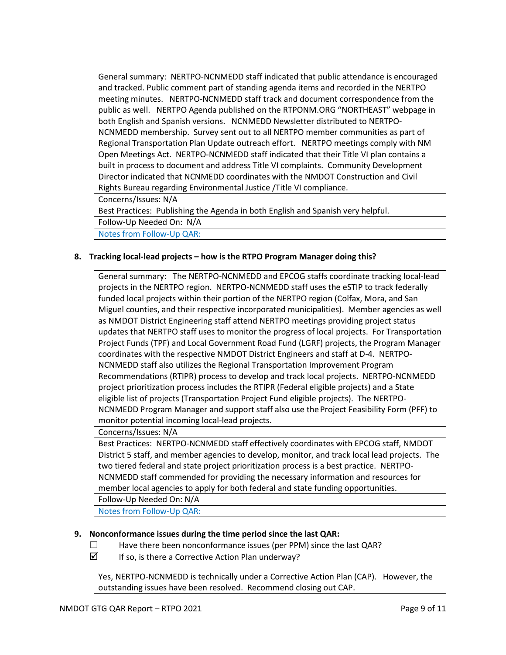General summary: NERTPO-NCNMEDD staff indicated that public attendance is encouraged and tracked. Public comment part of standing agenda items and recorded in the NERTPO meeting minutes. NERTPO-NCNMEDD staff track and document correspondence from the public as well. NERTPO Agenda published on the RTPONM.ORG "NORTHEAST" webpage in both English and Spanish versions. NCNMEDD Newsletter distributed to NERTPO-NCNMEDD membership. Survey sent out to all NERTPO member communities as part of Regional Transportation Plan Update outreach effort. NERTPO meetings comply with NM Open Meetings Act. NERTPO-NCNMEDD staff indicated that their Title VI plan contains a built in process to document and address Title VI complaints. Community Development Director indicated that NCNMEDD coordinates with the NMDOT Construction and Civil Rights Bureau regarding Environmental Justice /Title VI compliance.

Concerns/Issues: N/A

Best Practices: Publishing the Agenda in both English and Spanish very helpful.

Follow-Up Needed On: N/A

Notes from Follow-Up QAR:

# **8. Tracking local-lead projects – how is the RTPO Program Manager doing this?**

General summary: The NERTPO-NCNMEDD and EPCOG staffs coordinate tracking local-lead projects in the NERTPO region. NERTPO-NCNMEDD staff uses the eSTIP to track federally funded local projects within their portion of the NERTPO region (Colfax, Mora, and San Miguel counties, and their respective incorporated municipalities). Member agencies as well as NMDOT District Engineering staff attend NERTPO meetings providing project status updates that NERTPO staff uses to monitor the progress of local projects. For Transportation Project Funds (TPF) and Local Government Road Fund (LGRF) projects, the Program Manager coordinates with the respective NMDOT District Engineers and staff at D-4. NERTPO-NCNMEDD staff also utilizes the Regional Transportation Improvement Program Recommendations (RTIPR) process to develop and track local projects. NERTPO-NCNMEDD project prioritization process includes the RTIPR (Federal eligible projects) and a State eligible list of projects (Transportation Project Fund eligible projects). The NERTPO-NCNMEDD Program Manager and support staff also use the Project Feasibility Form (PFF) to monitor potential incoming local-lead projects.

Concerns/Issues: N/A

Best Practices: NERTPO-NCNMEDD staff effectively coordinates with EPCOG staff, NMDOT District 5 staff, and member agencies to develop, monitor, and track local lead projects. The two tiered federal and state project prioritization process is a best practice. NERTPO-NCNMEDD staff commended for providing the necessary information and resources for member local agencies to apply for both federal and state funding opportunities. Follow-Up Needed On: N/A

Notes from Follow-Up QAR:

# **9. Nonconformance issues during the time period since the last QAR:**

- ☐ Have there been nonconformance issues (per PPM) since the last QAR?
- $\triangledown$  If so, is there a Corrective Action Plan underway?

Yes, NERTPO-NCNMEDD is technically under a Corrective Action Plan (CAP). However, the outstanding issues have been resolved. Recommend closing out CAP.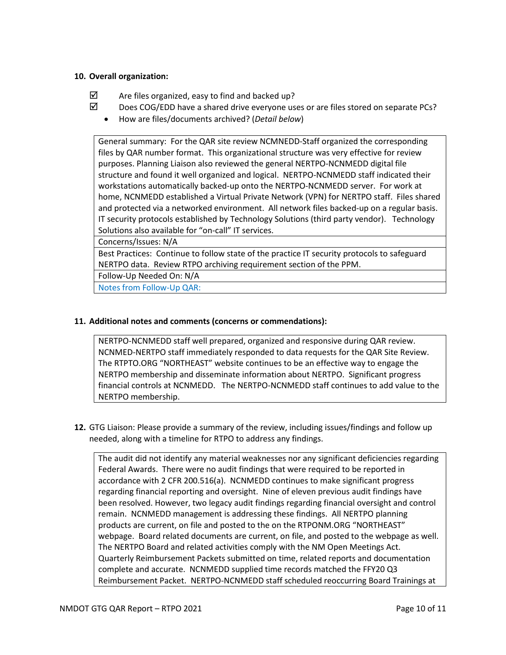### **10. Overall organization:**

- $\boxtimes$  Are files organized, easy to find and backed up?
- $\boxtimes$  Does COG/EDD have a shared drive everyone uses or are files stored on separate PCs?
	- How are files/documents archived? (*Detail below*)

General summary: For the QAR site review NCMNEDD-Staff organized the corresponding files by QAR number format. This organizational structure was very effective for review purposes. Planning Liaison also reviewed the general NERTPO-NCNMEDD digital file structure and found it well organized and logical. NERTPO-NCNMEDD staff indicated their workstations automatically backed-up onto the NERTPO-NCNMEDD server. For work at home, NCNMEDD established a Virtual Private Network (VPN) for NERTPO staff. Files shared and protected via a networked environment. All network files backed-up on a regular basis. IT security protocols established by Technology Solutions (third party vendor). Technology Solutions also available for "on-call" IT services.

Concerns/Issues: N/A

Best Practices: Continue to follow state of the practice IT security protocols to safeguard NERTPO data. Review RTPO archiving requirement section of the PPM.

Follow-Up Needed On: N/A

Notes from Follow-Up QAR:

### **11. Additional notes and comments (concerns or commendations):**

NERTPO-NCNMEDD staff well prepared, organized and responsive during QAR review. NCNMED-NERTPO staff immediately responded to data requests for the QAR Site Review. The RTPTO.ORG "NORTHEAST" website continues to be an effective way to engage the NERTPO membership and disseminate information about NERTPO. Significant progress financial controls at NCNMEDD. The NERTPO-NCNMEDD staff continues to add value to the NERTPO membership.

**12.** GTG Liaison: Please provide a summary of the review, including issues/findings and follow up needed, along with a timeline for RTPO to address any findings.

The audit did not identify any material weaknesses nor any significant deficiencies regarding Federal Awards. There were no audit findings that were required to be reported in accordance with 2 CFR 200.516(a). NCNMEDD continues to make significant progress regarding financial reporting and oversight. Nine of eleven previous audit findings have been resolved. However, two legacy audit findings regarding financial oversight and control remain. NCNMEDD management is addressing these findings. All NERTPO planning products are current, on file and posted to the on the RTPONM.ORG "NORTHEAST" webpage. Board related documents are current, on file, and posted to the webpage as well. The NERTPO Board and related activities comply with the NM Open Meetings Act. Quarterly Reimbursement Packets submitted on time, related reports and documentation complete and accurate. NCNMEDD supplied time records matched the FFY20 Q3 Reimbursement Packet. NERTPO-NCNMEDD staff scheduled reoccurring Board Trainings at